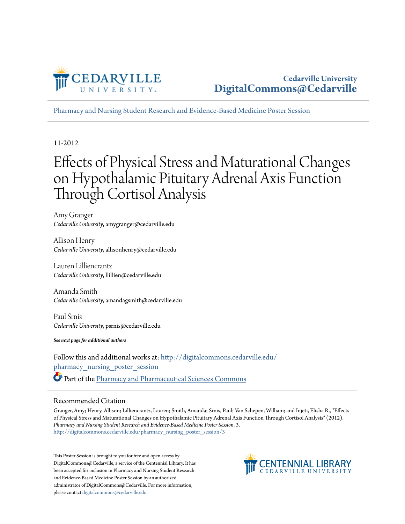

[Pharmacy and Nursing Student Research and Evidence-Based Medicine Poster Session](http://digitalcommons.cedarville.edu/pharmacy_nursing_poster_session?utm_source=digitalcommons.cedarville.edu%2Fpharmacy_nursing_poster_session%2F3&utm_medium=PDF&utm_campaign=PDFCoverPages)

#### 11-2012

#### Effects of Physical Stress and Maturational Changes on Hypothalamic Pituitary Adrenal Axis Function Through Cortisol Analysis

Amy Granger *Cedarville University*, amygranger@cedarville.edu

Allison Henry *Cedarville University*, allisonhenry@cedarville.edu

Lauren Lilliencrantz *Cedarville University*, llillien@cedarville.edu

Amanda Smith *Cedarville University*, amandagsmith@cedarville.edu

Paul Srnis *Cedarville University*, psrnis@cedarville.edu

*See next page for additional authors*

Follow this and additional works at: [http://digitalcommons.cedarville.edu/](http://digitalcommons.cedarville.edu/pharmacy_nursing_poster_session?utm_source=digitalcommons.cedarville.edu%2Fpharmacy_nursing_poster_session%2F3&utm_medium=PDF&utm_campaign=PDFCoverPages) [pharmacy\\_nursing\\_poster\\_session](http://digitalcommons.cedarville.edu/pharmacy_nursing_poster_session?utm_source=digitalcommons.cedarville.edu%2Fpharmacy_nursing_poster_session%2F3&utm_medium=PDF&utm_campaign=PDFCoverPages) Part of the [Pharmacy and Pharmaceutical Sciences Commons](http://network.bepress.com/hgg/discipline/731?utm_source=digitalcommons.cedarville.edu%2Fpharmacy_nursing_poster_session%2F3&utm_medium=PDF&utm_campaign=PDFCoverPages)

#### Recommended Citation

Granger, Amy; Henry, Allison; Lilliencrantz, Lauren; Smith, Amanda; Srnis, Paul; Van Schepen, William; and Injeti, Elisha R., "Effects of Physical Stress and Maturational Changes on Hypothalamic Pituitary Adrenal Axis Function Through Cortisol Analysis" (2012). *Pharmacy and Nursing Student Research and Evidence-Based Medicine Poster Session*. 3. [http://digitalcommons.cedarville.edu/pharmacy\\_nursing\\_poster\\_session/3](http://digitalcommons.cedarville.edu/pharmacy_nursing_poster_session/3?utm_source=digitalcommons.cedarville.edu%2Fpharmacy_nursing_poster_session%2F3&utm_medium=PDF&utm_campaign=PDFCoverPages)

This Poster Session is brought to you for free and open access by DigitalCommons@Cedarville, a service of the Centennial Library. It has been accepted for inclusion in Pharmacy and Nursing Student Research and Evidence-Based Medicine Poster Session by an authorized administrator of DigitalCommons@Cedarville. For more information, please contact [digitalcommons@cedarville.edu.](mailto:digitalcommons@cedarville.edu)

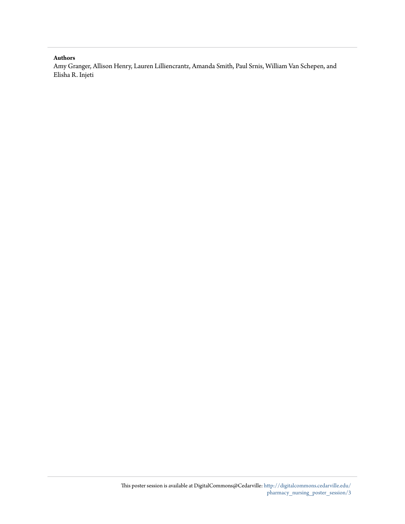#### **Authors**

Amy Granger, Allison Henry, Lauren Lilliencrantz, Amanda Smith, Paul Srnis, William Van Schepen, and Elisha R. Injeti